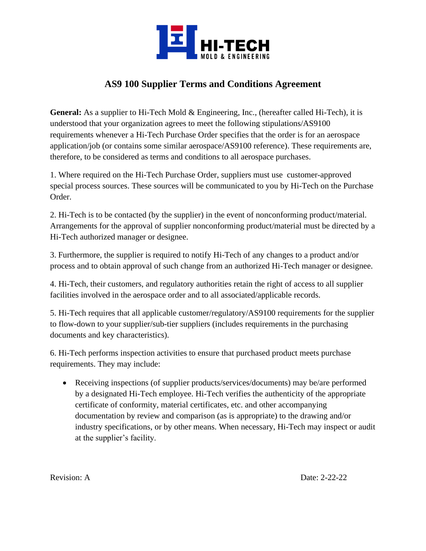

## **AS9 100 Supplier Terms and Conditions Agreement**

**General:** As a supplier to Hi-Tech Mold & Engineering, Inc., (hereafter called Hi-Tech), it is understood that your organization agrees to meet the following stipulations/AS9100 requirements whenever a Hi-Tech Purchase Order specifies that the order is for an aerospace application/job (or contains some similar aerospace/AS9100 reference). These requirements are, therefore, to be considered as terms and conditions to all aerospace purchases.

1. Where required on the Hi-Tech Purchase Order, suppliers must use customer-approved special process sources. These sources will be communicated to you by Hi-Tech on the Purchase Order.

2. Hi-Tech is to be contacted (by the supplier) in the event of nonconforming product/material. Arrangements for the approval of supplier nonconforming product/material must be directed by a Hi-Tech authorized manager or designee.

3. Furthermore, the supplier is required to notify Hi-Tech of any changes to a product and/or process and to obtain approval of such change from an authorized Hi-Tech manager or designee.

4. Hi-Tech, their customers, and regulatory authorities retain the right of access to all supplier facilities involved in the aerospace order and to all associated/applicable records.

5. Hi-Tech requires that all applicable customer/regulatory/AS9100 requirements for the supplier to flow-down to your supplier/sub-tier suppliers (includes requirements in the purchasing documents and key characteristics).

6. Hi-Tech performs inspection activities to ensure that purchased product meets purchase requirements. They may include:

• Receiving inspections (of supplier products/services/documents) may be/are performed by a designated Hi-Tech employee. Hi-Tech verifies the authenticity of the appropriate certificate of conformity, material certificates, etc. and other accompanying documentation by review and comparison (as is appropriate) to the drawing and/or industry specifications, or by other means. When necessary, Hi-Tech may inspect or audit at the supplier's facility.

Revision: A Date: 2-22-22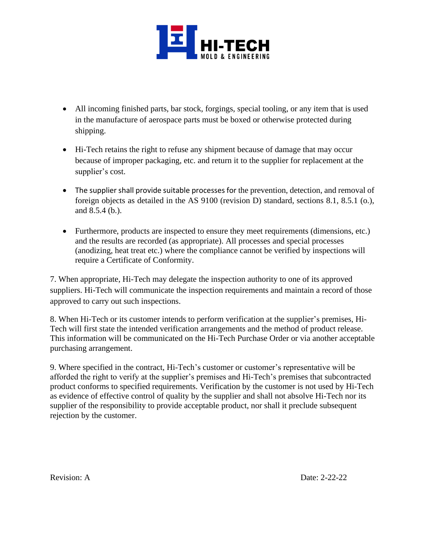

- All incoming finished parts, bar stock, forgings, special tooling, or any item that is used in the manufacture of aerospace parts must be boxed or otherwise protected during shipping.
- Hi-Tech retains the right to refuse any shipment because of damage that may occur because of improper packaging, etc. and return it to the supplier for replacement at the supplier's cost.
- The supplier shall provide suitable processes for the prevention, detection, and removal of foreign objects as detailed in the AS 9100 (revision D) standard, sections 8.1, 8.5.1 (o.), and 8.5.4 (b.).
- Furthermore, products are inspected to ensure they meet requirements (dimensions, etc.) and the results are recorded (as appropriate). All processes and special processes (anodizing, heat treat etc.) where the compliance cannot be verified by inspections will require a Certificate of Conformity.

7. When appropriate, Hi-Tech may delegate the inspection authority to one of its approved suppliers. Hi-Tech will communicate the inspection requirements and maintain a record of those approved to carry out such inspections.

8. When Hi-Tech or its customer intends to perform verification at the supplier's premises, Hi-Tech will first state the intended verification arrangements and the method of product release. This information will be communicated on the Hi-Tech Purchase Order or via another acceptable purchasing arrangement.

9. Where specified in the contract, Hi-Tech's customer or customer's representative will be afforded the right to verify at the supplier's premises and Hi-Tech's premises that subcontracted product conforms to specified requirements. Verification by the customer is not used by Hi-Tech as evidence of effective control of quality by the supplier and shall not absolve Hi-Tech nor its supplier of the responsibility to provide acceptable product, nor shall it preclude subsequent rejection by the customer.